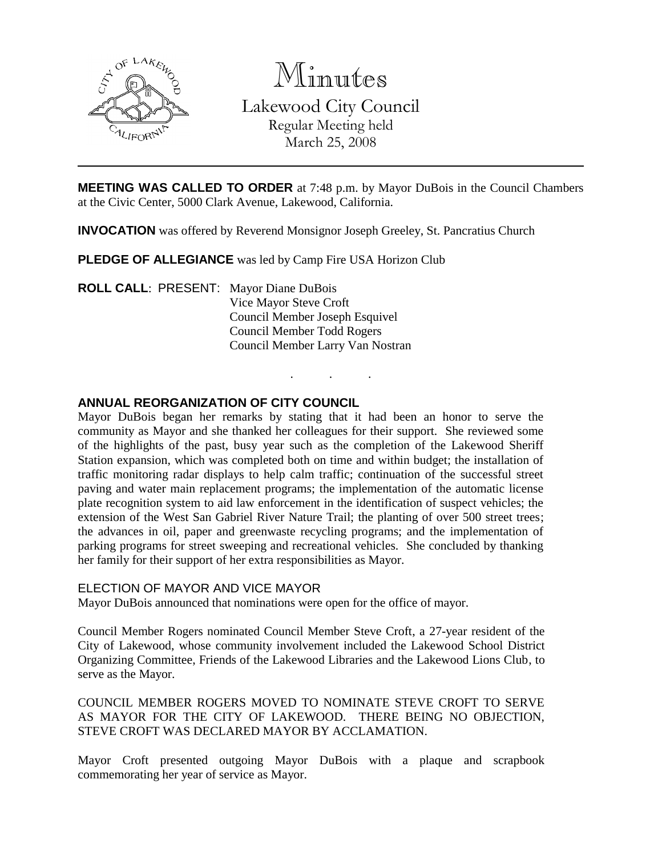

Minutes

Lakewood City Council Regular Meeting held March 25, 2008

**MEETING WAS CALLED TO ORDER** at 7:48 p.m. by Mayor DuBois in the Council Chambers at the Civic Center, 5000 Clark Avenue, Lakewood, California.

. . .

**INVOCATION** was offered by Reverend Monsignor Joseph Greeley, St. Pancratius Church

**PLEDGE OF ALLEGIANCE** was led by Camp Fire USA Horizon Club

**ROLL CALL**: PRESENT: Mayor Diane DuBois Vice Mayor Steve Croft Council Member Joseph Esquivel Council Member Todd Rogers Council Member Larry Van Nostran

# **ANNUAL REORGANIZATION OF CITY COUNCIL**

Mayor DuBois began her remarks by stating that it had been an honor to serve the community as Mayor and she thanked her colleagues for their support. She reviewed some of the highlights of the past, busy year such as the completion of the Lakewood Sheriff Station expansion, which was completed both on time and within budget; the installation of traffic monitoring radar displays to help calm traffic; continuation of the successful street paving and water main replacement programs; the implementation of the automatic license plate recognition system to aid law enforcement in the identification of suspect vehicles; the extension of the West San Gabriel River Nature Trail; the planting of over 500 street trees; the advances in oil, paper and greenwaste recycling programs; and the implementation of parking programs for street sweeping and recreational vehicles. She concluded by thanking her family for their support of her extra responsibilities as Mayor.

## ELECTION OF MAYOR AND VICE MAYOR

Mayor DuBois announced that nominations were open for the office of mayor.

Council Member Rogers nominated Council Member Steve Croft, a 27-year resident of the City of Lakewood, whose community involvement included the Lakewood School District Organizing Committee, Friends of the Lakewood Libraries and the Lakewood Lions Club, to serve as the Mayor.

COUNCIL MEMBER ROGERS MOVED TO NOMINATE STEVE CROFT TO SERVE AS MAYOR FOR THE CITY OF LAKEWOOD. THERE BEING NO OBJECTION, STEVE CROFT WAS DECLARED MAYOR BY ACCLAMATION.

Mayor Croft presented outgoing Mayor DuBois with a plaque and scrapbook commemorating her year of service as Mayor.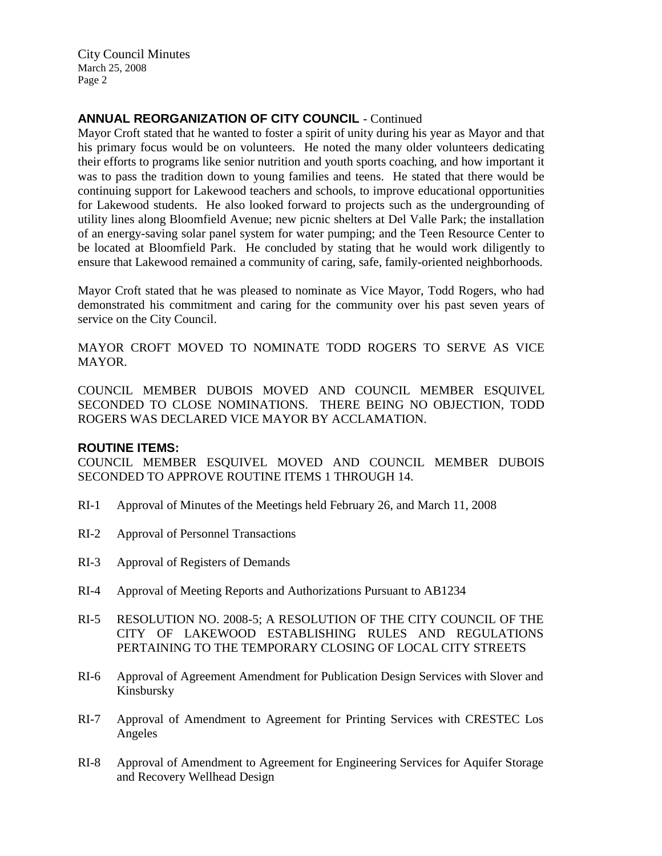City Council Minutes March 25, 2008 Page 2

# **ANNUAL REORGANIZATION OF CITY COUNCIL** - Continued

Mayor Croft stated that he wanted to foster a spirit of unity during his year as Mayor and that his primary focus would be on volunteers. He noted the many older volunteers dedicating their efforts to programs like senior nutrition and youth sports coaching, and how important it was to pass the tradition down to young families and teens. He stated that there would be continuing support for Lakewood teachers and schools, to improve educational opportunities for Lakewood students. He also looked forward to projects such as the undergrounding of utility lines along Bloomfield Avenue; new picnic shelters at Del Valle Park; the installation of an energy-saving solar panel system for water pumping; and the Teen Resource Center to be located at Bloomfield Park. He concluded by stating that he would work diligently to ensure that Lakewood remained a community of caring, safe, family-oriented neighborhoods.

Mayor Croft stated that he was pleased to nominate as Vice Mayor, Todd Rogers, who had demonstrated his commitment and caring for the community over his past seven years of service on the City Council.

MAYOR CROFT MOVED TO NOMINATE TODD ROGERS TO SERVE AS VICE MAYOR.

COUNCIL MEMBER DUBOIS MOVED AND COUNCIL MEMBER ESQUIVEL SECONDED TO CLOSE NOMINATIONS. THERE BEING NO OBJECTION, TODD ROGERS WAS DECLARED VICE MAYOR BY ACCLAMATION.

### **ROUTINE ITEMS:**

COUNCIL MEMBER ESQUIVEL MOVED AND COUNCIL MEMBER DUBOIS SECONDED TO APPROVE ROUTINE ITEMS 1 THROUGH 14.

- RI-1 Approval of Minutes of the Meetings held February 26, and March 11, 2008
- RI-2 Approval of Personnel Transactions
- RI-3 Approval of Registers of Demands
- RI-4 Approval of Meeting Reports and Authorizations Pursuant to AB1234
- RI-5 RESOLUTION NO. 2008-5; A RESOLUTION OF THE CITY COUNCIL OF THE CITY OF LAKEWOOD ESTABLISHING RULES AND REGULATIONS PERTAINING TO THE TEMPORARY CLOSING OF LOCAL CITY STREETS
- RI-6 Approval of Agreement Amendment for Publication Design Services with Slover and Kinsbursky
- RI-7 Approval of Amendment to Agreement for Printing Services with CRESTEC Los Angeles
- RI-8 Approval of Amendment to Agreement for Engineering Services for Aquifer Storage and Recovery Wellhead Design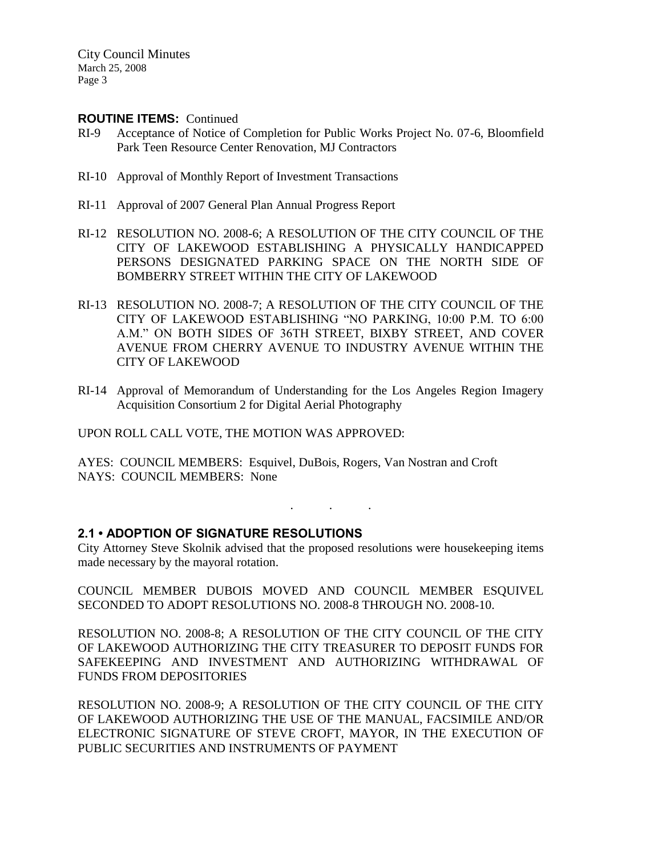City Council Minutes March 25, 2008 Page 3

## **ROUTINE ITEMS:** Continued

- RI-9 Acceptance of Notice of Completion for Public Works Project No. 07-6, Bloomfield Park Teen Resource Center Renovation, MJ Contractors
- RI-10 Approval of Monthly Report of Investment Transactions
- RI-11 Approval of 2007 General Plan Annual Progress Report
- RI-12 RESOLUTION NO. 2008-6; A RESOLUTION OF THE CITY COUNCIL OF THE CITY OF LAKEWOOD ESTABLISHING A PHYSICALLY HANDICAPPED PERSONS DESIGNATED PARKING SPACE ON THE NORTH SIDE OF BOMBERRY STREET WITHIN THE CITY OF LAKEWOOD
- RI-13 RESOLUTION NO. 2008-7; A RESOLUTION OF THE CITY COUNCIL OF THE CITY OF LAKEWOOD ESTABLISHING "NO PARKING, 10:00 P.M. TO 6:00 A.M." ON BOTH SIDES OF 36TH STREET, BIXBY STREET, AND COVER AVENUE FROM CHERRY AVENUE TO INDUSTRY AVENUE WITHIN THE CITY OF LAKEWOOD
- RI-14 Approval of Memorandum of Understanding for the Los Angeles Region Imagery Acquisition Consortium 2 for Digital Aerial Photography

UPON ROLL CALL VOTE, THE MOTION WAS APPROVED:

AYES: COUNCIL MEMBERS: Esquivel, DuBois, Rogers, Van Nostran and Croft NAYS: COUNCIL MEMBERS: None

### **2.1 • ADOPTION OF SIGNATURE RESOLUTIONS**

City Attorney Steve Skolnik advised that the proposed resolutions were housekeeping items made necessary by the mayoral rotation.

. . .

COUNCIL MEMBER DUBOIS MOVED AND COUNCIL MEMBER ESQUIVEL SECONDED TO ADOPT RESOLUTIONS NO. 2008-8 THROUGH NO. 2008-10.

RESOLUTION NO. 2008-8; A RESOLUTION OF THE CITY COUNCIL OF THE CITY OF LAKEWOOD AUTHORIZING THE CITY TREASURER TO DEPOSIT FUNDS FOR SAFEKEEPING AND INVESTMENT AND AUTHORIZING WITHDRAWAL OF FUNDS FROM DEPOSITORIES

RESOLUTION NO. 2008-9; A RESOLUTION OF THE CITY COUNCIL OF THE CITY OF LAKEWOOD AUTHORIZING THE USE OF THE MANUAL, FACSIMILE AND/OR ELECTRONIC SIGNATURE OF STEVE CROFT, MAYOR, IN THE EXECUTION OF PUBLIC SECURITIES AND INSTRUMENTS OF PAYMENT